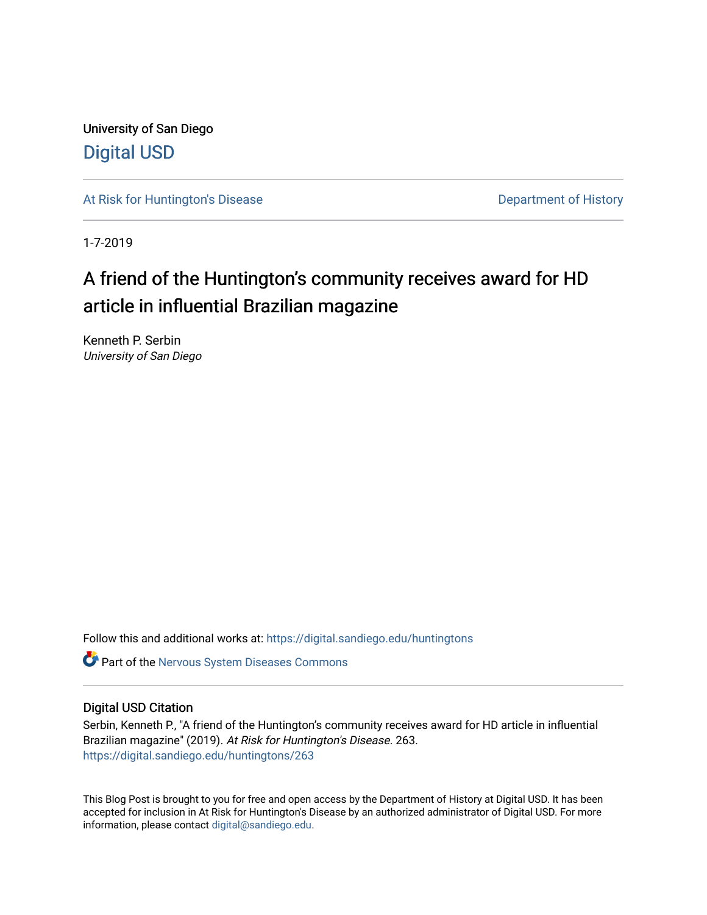University of San Diego [Digital USD](https://digital.sandiego.edu/)

[At Risk for Huntington's Disease](https://digital.sandiego.edu/huntingtons) **Department of History** Department of History

1-7-2019

## A friend of the Huntington's community receives award for HD article in influential Brazilian magazine

Kenneth P. Serbin University of San Diego

Follow this and additional works at: [https://digital.sandiego.edu/huntingtons](https://digital.sandiego.edu/huntingtons?utm_source=digital.sandiego.edu%2Fhuntingtons%2F263&utm_medium=PDF&utm_campaign=PDFCoverPages)

**C** Part of the [Nervous System Diseases Commons](http://network.bepress.com/hgg/discipline/928?utm_source=digital.sandiego.edu%2Fhuntingtons%2F263&utm_medium=PDF&utm_campaign=PDFCoverPages)

### Digital USD Citation

Serbin, Kenneth P., "A friend of the Huntington's community receives award for HD article in influential Brazilian magazine" (2019). At Risk for Huntington's Disease. 263. [https://digital.sandiego.edu/huntingtons/263](https://digital.sandiego.edu/huntingtons/263?utm_source=digital.sandiego.edu%2Fhuntingtons%2F263&utm_medium=PDF&utm_campaign=PDFCoverPages)

This Blog Post is brought to you for free and open access by the Department of History at Digital USD. It has been accepted for inclusion in At Risk for Huntington's Disease by an authorized administrator of Digital USD. For more information, please contact [digital@sandiego.edu.](mailto:digital@sandiego.edu)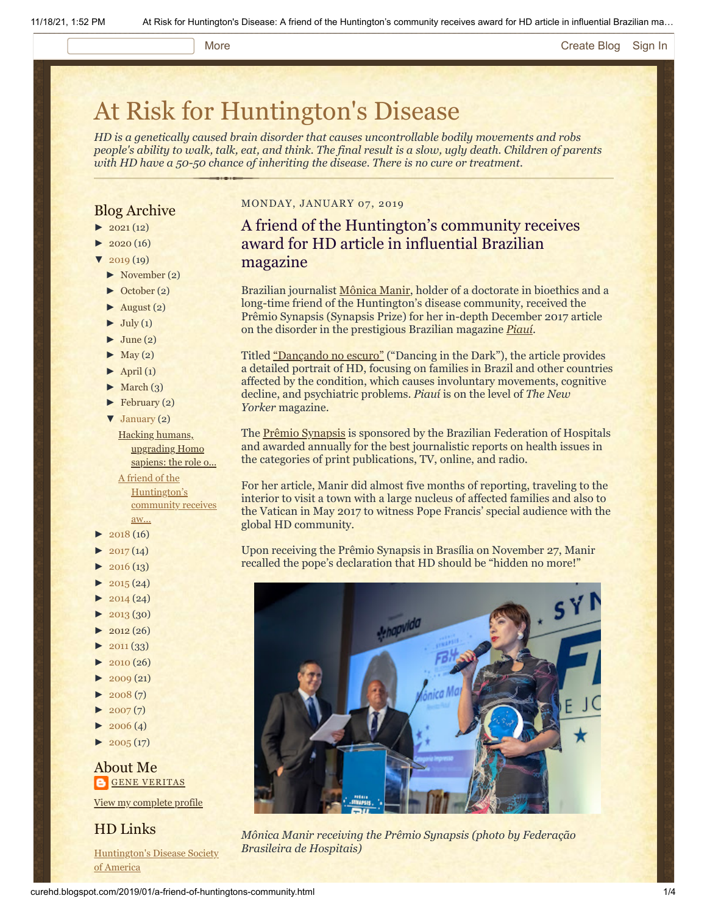#### More **[Create Blog](https://www.blogger.com/home#create) [Sign In](https://www.blogger.com/)**

# [At Risk for Huntington's Disease](http://curehd.blogspot.com/)

*HD is a genetically caused brain disorder that causes uncontrollable bodily movements and robs people's ability to walk, talk, eat, and think. The final result is a slow, ugly death. Children of parents with HD have a 50-50 chance of inheriting the disease. There is no cure or treatment.*

### Blog Archive

- $\blacktriangleright$  [2021](http://curehd.blogspot.com/2021/) (12)
- $2020(16)$  $2020(16)$
- $2019(19)$  $2019(19)$
- [►](javascript:void(0)) [November](http://curehd.blogspot.com/2019/11/) (2)
- [►](javascript:void(0)) [October](http://curehd.blogspot.com/2019/10/) (2)
- $\blacktriangleright$  [August](http://curehd.blogspot.com/2019/08/) (2)
- $\blacktriangleright$  [July](http://curehd.blogspot.com/2019/07/) (1)
- $\blacktriangleright$  [June](http://curehd.blogspot.com/2019/06/) (2)
- $\blacktriangleright$  [May](http://curehd.blogspot.com/2019/05/) (2)
- $\blacktriangleright$  [April](http://curehd.blogspot.com/2019/04/) (1)
- $\blacktriangleright$  [March](http://curehd.blogspot.com/2019/03/) (3)
- $\blacktriangleright$  [February](http://curehd.blogspot.com/2019/02/) (2)
- [▼](javascript:void(0)) [January](http://curehd.blogspot.com/2019/01/) (2)
- Hacking humans, [upgrading](http://curehd.blogspot.com/2019/01/hacking-humans-upgrading-homo-sapiens.html) Homo sapiens: the role o...

A friend of the [Huntington's](http://curehd.blogspot.com/2019/01/a-friend-of-huntingtons-community.html) community receives aw...

- $2018(16)$  $2018(16)$
- $2017(14)$  $2017(14)$
- $2016(13)$  $2016(13)$
- $\blacktriangleright$  [2015](http://curehd.blogspot.com/2015/) (24)
- $\blacktriangleright$  [2014](http://curehd.blogspot.com/2014/) (24)
- $-2013(30)$  $-2013(30)$  $-2013(30)$
- $\blacktriangleright$  [2012](http://curehd.blogspot.com/2012/) (26)
- $\blacktriangleright$  [2011](http://curehd.blogspot.com/2011/) (33)
- $\blacktriangleright$  [2010](http://curehd.blogspot.com/2010/) (26)
- $\blacktriangleright$  [2009](http://curehd.blogspot.com/2009/) (21)
- $2008(7)$  $2008(7)$
- $2007(7)$  $2007(7)$
- $\blacktriangleright$  [2006](http://curehd.blogspot.com/2006/) (4)
- $\blacktriangleright$  [2005](http://curehd.blogspot.com/2005/) (17)

### About Me **GENE [VERITAS](https://www.blogger.com/profile/10911736205741688185)**

View my [complete](https://www.blogger.com/profile/10911736205741688185) profile

### HD Links

[Huntington's](http://www.hdsa.org/) Disease Society of America

### MONDAY, JANUARY 07, 2019

### A friend of the Huntington's community receives award for HD article in influential Brazilian magazine

Brazilian journalist [Mônica Manir](https://www.escavador.com/sobre/800503/monica-manir-miguel#academico), holder of a doctorate in bioethics and a long-time friend of the Huntington's disease community, received the Prêmio Synapsis (Synapsis Prize) for her in-depth December 2017 article on the disorder in the prestigious Brazilian magazine *[Piauí](https://piaui.folha.uol.com.br/)*.

Titled ["Dançando no escuro"](https://piaui.folha.uol.com.br/materia/dancando-no-escuro/) ("Dancing in the Dark"), the article provides a detailed portrait of HD, focusing on families in Brazil and other countries affected by the condition, which causes involuntary movements, cognitive decline, and psychiatric problems. *Piauí* is on the level of *The New Yorker* magazine.

The [Prêmio Synapsis](http://fbh.com.br/premio-synapsis/) is sponsored by the Brazilian Federation of Hospitals and awarded annually for the best journalistic reports on health issues in the categories of print publications, TV, online, and radio.

For her article, Manir did almost five months of reporting, traveling to the interior to visit a town with a large nucleus of affected families and also to the Vatican in May 2017 to witness Pope Francis' special audience with the global HD community.

Upon receiving the Prêmio Synapsis in Brasília on November 27, Manir recalled the pope's declaration that HD should be "hidden no more!"



*Mônica Manir receiving the Prêmio Synapsis (photo by Federação Brasileira de Hospitais)*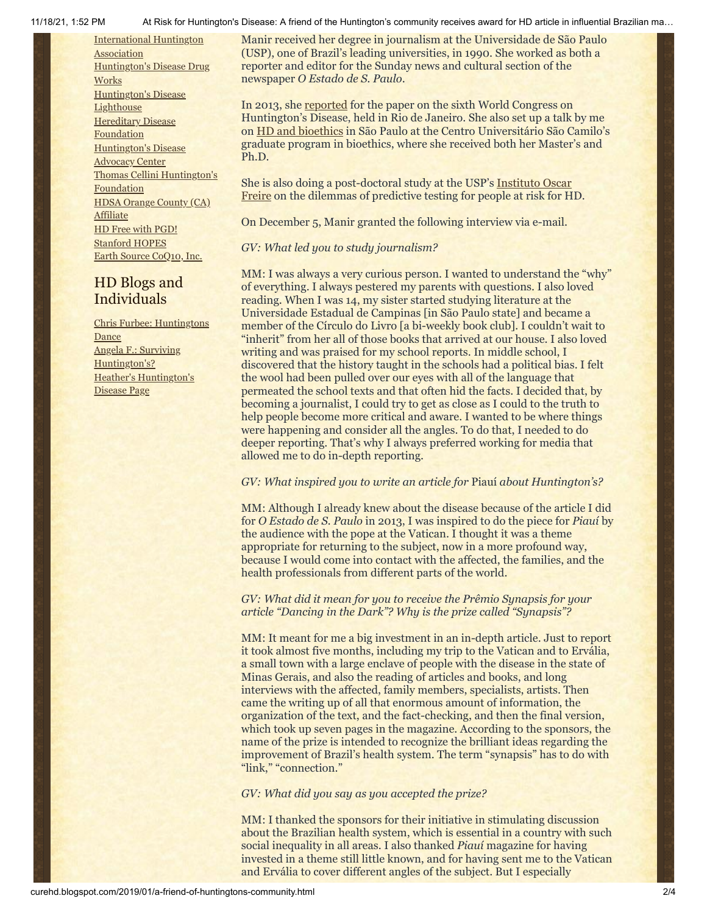[International](http://www.huntington-assoc.com/) Huntington **Association** [Huntington's](http://hddrugworks.org/) Disease Drug **Works** [Huntington's](http://www.hdlighthouse.org/) Disease **Lighthouse [Hereditary](http://www.hdfoundation.org/) Disease Foundation** [Huntington's](http://www.hdac.org/) Disease Advocacy Center Thomas [Cellini Huntington's](http://www.ourtchfoundation.org/) **Foundation** HDSA Orange County (CA) **[Affiliate](http://www.hdsaoc.org/)** HD Free with [PGD!](http://www.hdfreewithpgd.com/) [Stanford](http://www.stanford.edu/group/hopes/) HOPES Earth Source [CoQ10,](http://www.escoq10.com/) Inc.

### HD Blogs and Individuals

Chris Furbee: [Huntingtons](http://www.huntingtonsdance.org/) Dance Angela F.: Surviving [Huntington's?](http://survivinghuntingtons.blogspot.com/) Heather's [Huntington's](http://heatherdugdale.angelfire.com/) Disease Page

11/18/21, 1:52 PM At Risk for Huntington's Disease: A friend of the Huntington's community receives award for HD article in influential Brazilian ma…

Manir received her degree in journalism at the Universidade de São Paulo (USP), one of Brazil's leading universities, in 1990. She worked as both a reporter and editor for the Sunday news and cultural section of the newspaper *O Estado de S. Paulo*.

In 2013, she [reported](https://www.estadao.com.br/noticias/geral,a-danca-dos-nao-famosos,1077262) for the paper on the sixth World Congress on Huntington's Disease, held in Rio de Janeiro. She also set up a talk by me on [HD and bioethics](https://vimeo.com/75940419) in São Paulo at the Centro Universitário São Camilo's graduate program in bioethics, where she received both her Master's and Ph.D.

[She is also doing a post-doctoral study at the USP's Instituto Oscar](http://www2.fm.usp.br/iof/) Freire on the dilemmas of predictive testing for people at risk for HD.

On December 5, Manir granted the following interview via e-mail.

### *GV: What led you to study journalism?*

MM: I was always a very curious person. I wanted to understand the "why" of everything. I always pestered my parents with questions. I also loved reading. When I was 14, my sister started studying literature at the Universidade Estadual de Campinas [in São Paulo state] and became a member of the Círculo do Livro [a bi-weekly book club]. I couldn't wait to "inherit" from her all of those books that arrived at our house. I also loved writing and was praised for my school reports. In middle school, I discovered that the history taught in the schools had a political bias. I felt the wool had been pulled over our eyes with all of the language that permeated the school texts and that often hid the facts. I decided that, by becoming a journalist, I could try to get as close as I could to the truth to help people become more critical and aware. I wanted to be where things were happening and consider all the angles. To do that, I needed to do deeper reporting. That's why I always preferred working for media that allowed me to do in-depth reporting.

### *GV: What inspired you to write an article for* Piauí *about Huntington's?*

MM: Although I already knew about the disease because of the article I did for *O Estado de S. Paulo* in 2013, I was inspired to do the piece for *Piauí* by the audience with the pope at the Vatican. I thought it was a theme appropriate for returning to the subject, now in a more profound way, because I would come into contact with the affected, the families, and the health professionals from different parts of the world.

### *GV: What did it mean for you to receive the Prêmio Synapsis for your article "Dancing in the Dark"? Why is the prize called "Synapsis"?*

MM: It meant for me a big investment in an in-depth article. Just to report it took almost five months, including my trip to the Vatican and to Ervália, a small town with a large enclave of people with the disease in the state of Minas Gerais, and also the reading of articles and books, and long interviews with the affected, family members, specialists, artists. Then came the writing up of all that enormous amount of information, the organization of the text, and the fact-checking, and then the final version, which took up seven pages in the magazine. According to the sponsors, the name of the prize is intended to recognize the brilliant ideas regarding the improvement of Brazil's health system. The term "synapsis" has to do with "link," "connection."

*GV: What did you say as you accepted the prize?*

MM: I thanked the sponsors for their initiative in stimulating discussion about the Brazilian health system, which is essential in a country with such social inequality in all areas. I also thanked *Piauí* magazine for having invested in a theme still little known, and for having sent me to the Vatican and Ervália to cover different angles of the subject. But I especially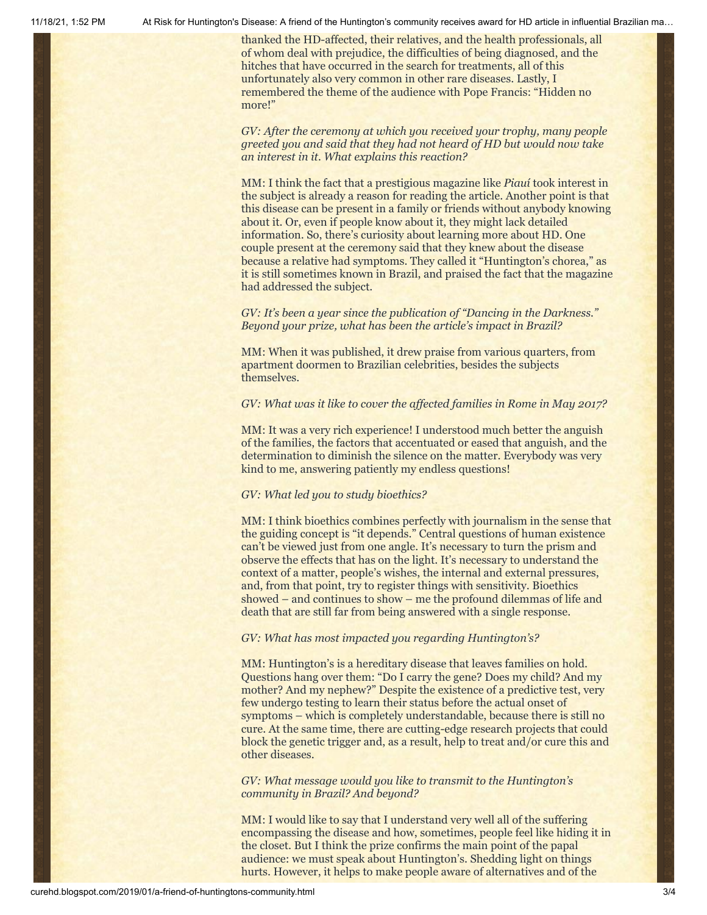11/18/21, 1:52 PM At Risk for Huntington's Disease: A friend of the Huntington's community receives award for HD article in influential Brazilian ma…

thanked the HD-affected, their relatives, and the health professionals, all of whom deal with prejudice, the difficulties of being diagnosed, and the hitches that have occurred in the search for treatments, all of this unfortunately also very common in other rare diseases. Lastly, I remembered the theme of the audience with Pope Francis: "Hidden no more!"

*GV: After the ceremony at which you received your trophy, many people greeted you and said that they had not heard of HD but would now take an interest in it. What explains this reaction?*

MM: I think the fact that a prestigious magazine like *Piauí* took interest in the subject is already a reason for reading the article. Another point is that this disease can be present in a family or friends without anybody knowing about it. Or, even if people know about it, they might lack detailed information. So, there's curiosity about learning more about HD. One couple present at the ceremony said that they knew about the disease because a relative had symptoms. They called it "Huntington's chorea," as it is still sometimes known in Brazil, and praised the fact that the magazine had addressed the subject.

*GV: It's been a year since the publication of "Dancing in the Darkness." Beyond your prize, what has been the article's impact in Brazil?*

MM: When it was published, it drew praise from various quarters, from apartment doormen to Brazilian celebrities, besides the subjects themselves.

### *GV: What was it like to cover the affected families in Rome in May 2017?*

MM: It was a very rich experience! I understood much better the anguish of the families, the factors that accentuated or eased that anguish, and the determination to diminish the silence on the matter. Everybody was very kind to me, answering patiently my endless questions!

### *GV: What led you to study bioethics?*

MM: I think bioethics combines perfectly with journalism in the sense that the guiding concept is "it depends." Central questions of human existence can't be viewed just from one angle. It's necessary to turn the prism and observe the effects that has on the light. It's necessary to understand the context of a matter, people's wishes, the internal and external pressures, and, from that point, try to register things with sensitivity. Bioethics showed – and continues to show – me the profound dilemmas of life and death that are still far from being answered with a single response.

### *GV: What has most impacted you regarding Huntington's?*

MM: Huntington's is a hereditary disease that leaves families on hold. Questions hang over them: "Do I carry the gene? Does my child? And my mother? And my nephew?" Despite the existence of a predictive test, very few undergo testing to learn their status before the actual onset of symptoms – which is completely understandable, because there is still no cure. At the same time, there are cutting-edge research projects that could block the genetic trigger and, as a result, help to treat and/or cure this and other diseases.

*GV: What message would you like to transmit to the Huntington's community in Brazil? And beyond?*

MM: I would like to say that I understand very well all of the suffering encompassing the disease and how, sometimes, people feel like hiding it in the closet. But I think the prize confirms the main point of the papal audience: we must speak about Huntington's. Shedding light on things hurts. However, it helps to make people aware of alternatives and of the